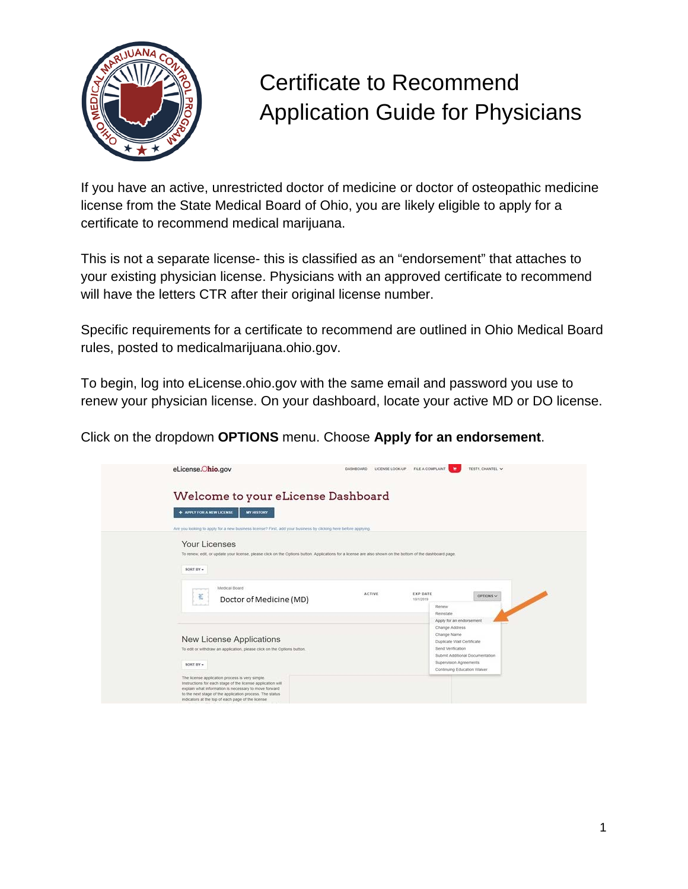

If you have an active, unrestricted doctor of medicine or doctor of osteopathic medicine license from the State Medical Board of Ohio, you are likely eligible to apply for a certificate to recommend medical marijuana.

This is not a separate license- this is classified as an "endorsement" that attaches to your existing physician license. Physicians with an approved certificate to recommend will have the letters CTR after their original license number.

Specific requirements for a certificate to recommend are outlined in Ohio Medical Board rules, posted to medicalmarijuana.ohio.gov.

To begin, log into eLicense.ohio.gov with the same email and password you use to renew your physician license. On your dashboard, locate your active MD or DO license.

Click on the dropdown **OPTIONS** menu. Choose **Apply for an endorsement**.

| Welcome to your eLicense Dashboard<br>+ APPLY FOR A NEW LICENSE<br><b>MY HISTORY</b>                                                                                                     |               |                       |                                                                                                                                                                            |           |  |
|------------------------------------------------------------------------------------------------------------------------------------------------------------------------------------------|---------------|-----------------------|----------------------------------------------------------------------------------------------------------------------------------------------------------------------------|-----------|--|
| Are you looking to apply for a new business scense? First, add your business by clicking here before applying.                                                                           |               |                       |                                                                                                                                                                            |           |  |
| Your Licenses<br>To renew, edit, or update your license, please click on the Options button. Applications for a license are also shown on the bottom of the dashboard page.<br>SORT BY = |               |                       |                                                                                                                                                                            |           |  |
| Medical Board<br>苞<br>Doctor of Medicine (MD)                                                                                                                                            | <b>ACTIVE</b> | EXP DATE<br>10/1/2019 | Renew<br>Reinstate                                                                                                                                                         | OPTIONS V |  |
| <b>New License Applications</b><br>To edit or withdraw an application, please click on the Options button.<br>SORT BY +                                                                  |               |                       | Apply for an endorsement<br>Charige Address<br>Change Name<br>Duplicate Wall Certificate<br>Send Verification<br>Submit Additional Documentation<br>Supervision Agreements |           |  |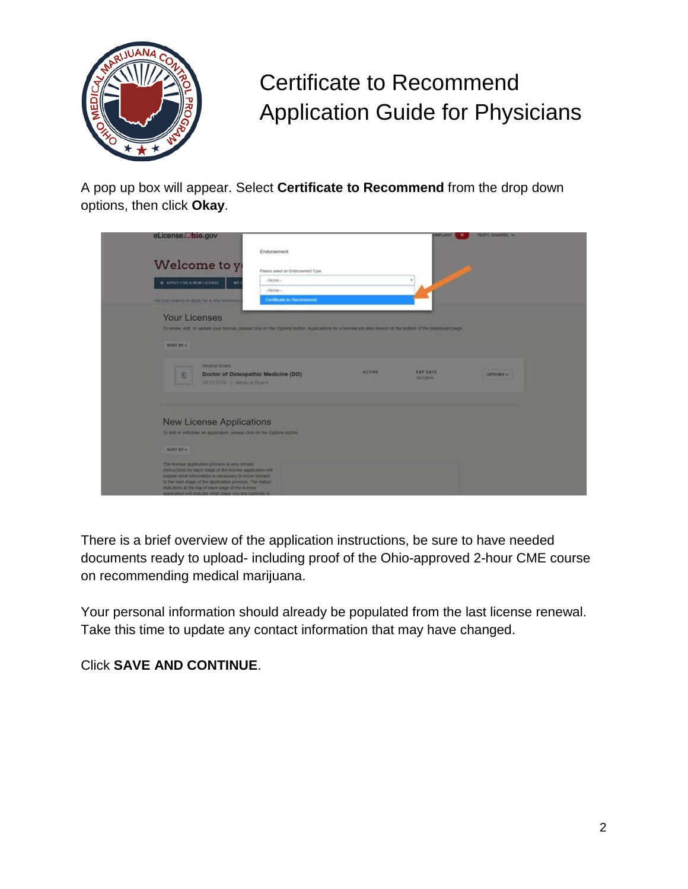

A pop up box will appear. Select **Certificate to Recommend** from the drop down options, then click **Okay**.

| eLicense.Ohio.gov                            |                                                                                                                                                           |               | <b>TIFLAIRT</b>              | TESTI CHANTEL V |
|----------------------------------------------|-----------------------------------------------------------------------------------------------------------------------------------------------------------|---------------|------------------------------|-----------------|
|                                              | Endorsement                                                                                                                                               |               |                              |                 |
| Welcome to y                                 | Please select an Endorsement Type:                                                                                                                        |               |                              |                 |
| + APPLY FOR A NEW EICENSE                    | -None-<br>MY.                                                                                                                                             |               |                              |                 |
|                                              | $-50000-$                                                                                                                                                 |               |                              |                 |
| Are you sooking to apply for a new business. | Certificate to Recommend                                                                                                                                  |               |                              |                 |
| <b>Your Licenses</b>                         |                                                                                                                                                           |               |                              |                 |
|                                              | To renew, edit, or update your license, please click on the Options button. Applications for a scense are also shown on the pollom of the dashboard page. |               |                              |                 |
| SORT BY -                                    |                                                                                                                                                           |               |                              |                 |
|                                              |                                                                                                                                                           |               |                              |                 |
|                                              | <b>Medical Board</b>                                                                                                                                      | <b>ACTIVE</b> |                              |                 |
| 팳                                            | Doctor of Osteopathic Medicine (DO)<br>14 013178   Medical Board                                                                                          |               | <b>EXP DATE</b><br>10/1/2019 | OPTION'S        |
|                                              |                                                                                                                                                           |               |                              |                 |
|                                              |                                                                                                                                                           |               |                              |                 |
|                                              | <b>New License Applications</b>                                                                                                                           |               |                              |                 |
|                                              | To edit or withdraw an application, please click on the Options button.                                                                                   |               |                              |                 |
|                                              |                                                                                                                                                           |               |                              |                 |
| SORT HY -                                    |                                                                                                                                                           |               |                              |                 |
|                                              | The license application process is very simple.                                                                                                           |               |                              |                 |
|                                              | Instructions for each stage of the license application will<br>explain what information is necessary to move forward.                                     |               |                              |                 |
|                                              | to the next stage of the application process. The status<br>indicators at the top of each page of the license                                             |               |                              |                 |
|                                              | application will indicate what stage you are currently in                                                                                                 |               |                              |                 |

There is a brief overview of the application instructions, be sure to have needed documents ready to upload- including proof of the Ohio-approved 2-hour CME course on recommending medical marijuana.

Your personal information should already be populated from the last license renewal. Take this time to update any contact information that may have changed.

Click **SAVE AND CONTINUE**.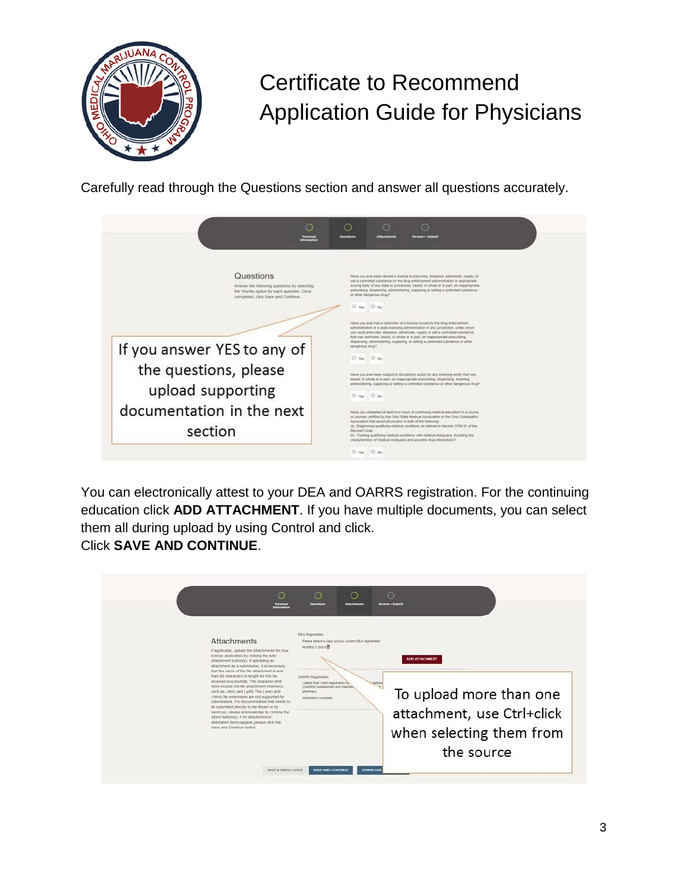

Carefully read through the Questions section and answer all questions accurately.

| $\circ$<br><b>Posters</b>                                                                                                                                                                                                                                         | ∩<br>◯<br><b>Review + Submit</b>                                                                                                                                                                                                                                                                                                                                                                                                                                                                                                                                                                                                                                                                                                                                                                                                                                                                                                                                                                                                                                                                                                                                                                                                                                                                                                                                                                                                                                                                                                                                                                                                                                    |
|-------------------------------------------------------------------------------------------------------------------------------------------------------------------------------------------------------------------------------------------------------------------|---------------------------------------------------------------------------------------------------------------------------------------------------------------------------------------------------------------------------------------------------------------------------------------------------------------------------------------------------------------------------------------------------------------------------------------------------------------------------------------------------------------------------------------------------------------------------------------------------------------------------------------------------------------------------------------------------------------------------------------------------------------------------------------------------------------------------------------------------------------------------------------------------------------------------------------------------------------------------------------------------------------------------------------------------------------------------------------------------------------------------------------------------------------------------------------------------------------------------------------------------------------------------------------------------------------------------------------------------------------------------------------------------------------------------------------------------------------------------------------------------------------------------------------------------------------------------------------------------------------------------------------------------------------------|
| Questions<br>Answer the following questions by selecting<br>the Yes/No option for each question. Once<br>completed, click Save and Continue.<br>If you answer YES to any of<br>the questions, please<br>upload supporting<br>documentation in the next<br>section | Have you ever been denied a license to prescribe, dispense, administer, supply, or<br>sell a controlled substance by the drug enforcement administration or appropriate<br>issuing body of any state or jurisdiction, based, in whole or in part, on inappropriate.<br>prescribing, dispensing, administering, supplying or selling a controlled substance<br>or other dangerous drug?<br>C Yes C No<br>Have you ever had a restriction of a license issued by the drug enforcement.<br>administration or a state licensing administration in any jurisdiction, under which<br>you could prescribe, dispense, administer, supply or sell a controlled substance.<br>that was restricted, based, in whole or in part, on inappropriate prescribing.<br>dispensing, administering, supplying, or selling a controlled substance or other<br>dangerous drug?<br>Wes O No.<br>Have you ever been subject to disciplinary action by any licensing entity that was<br>based, in whole or in part, on inappropriate prescribing, dispensing, diverting,<br>administering, supplying or selling a controlled substance or other dangerous drug?<br>O Yes<br>O'Ne<br>Have you competed at least two hours of continuing medical education in a course<br>or courses certified by the Ohio State Medical Association or the Ohio Osteopathic<br>Association that assist physicians in both of the following<br>(a) Diagnosing qualifying medical conditions as defined in Section 3795.01 of the<br>Revised Code:<br>(b) Treating qualifying medical conditions with medical marijuana, including the<br>characteristics of medical marijuana and possible drug interactions? |
|                                                                                                                                                                                                                                                                   | C Yes<br>$\Box$                                                                                                                                                                                                                                                                                                                                                                                                                                                                                                                                                                                                                                                                                                                                                                                                                                                                                                                                                                                                                                                                                                                                                                                                                                                                                                                                                                                                                                                                                                                                                                                                                                                     |

You can electronically attest to your DEA and OARRS registration. For the continuing education click **ADD ATTACHMENT**. If you have multiple documents, you can select them all during upload by using Control and click. Click **SAVE AND CONTINUE**.

| To upload more than one<br>submissions. For documentation that needs to<br>be submitted directly to the Board or by<br>attachment, use Ctrl+click<br>hardcopy, please acknowledge by clicking the<br>Attest button(s). If no attachment or<br>attestation items appear, please click the<br>Save and Continue button. |
|-----------------------------------------------------------------------------------------------------------------------------------------------------------------------------------------------------------------------------------------------------------------------------------------------------------------------|
| when selecting them from<br>the source<br>DOWNLOAD<br>SAVE & FINISH LATER<br><b>SAVE AND CONTINUE</b>                                                                                                                                                                                                                 |